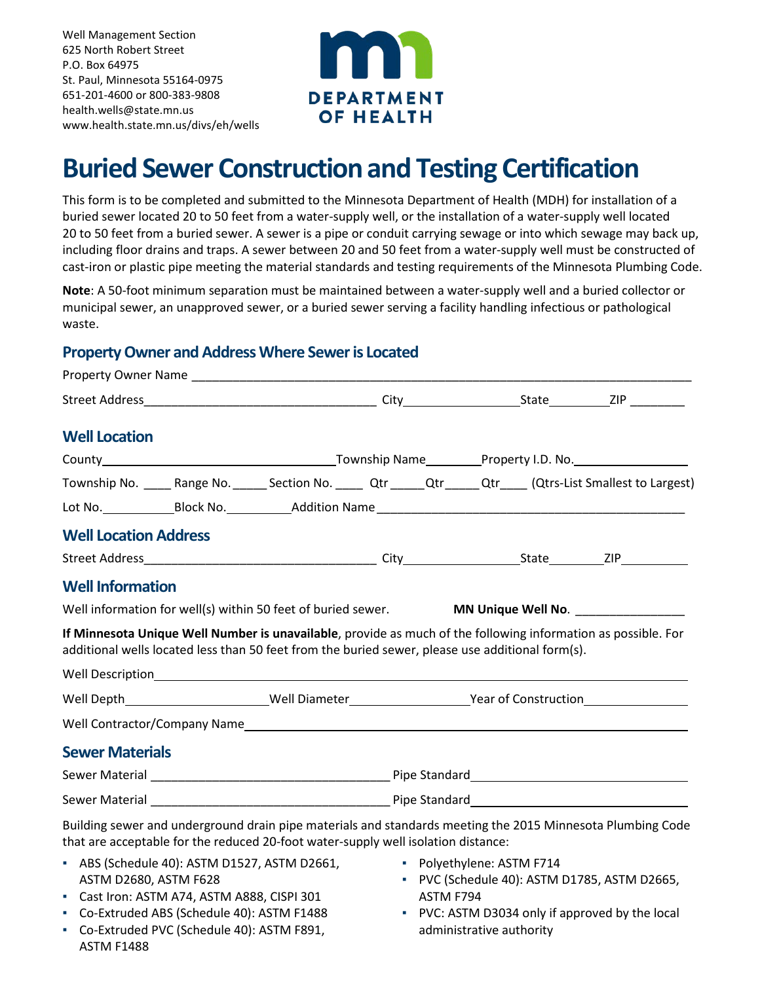Well Management Section 625 North Robert Street P.O. Box 64975 St. Paul, Minnesota 55164-0975 651-201-4600 or 800-383-9808 [health.wells@state.mn.us](mailto:health.wells@state.mn.us) [www.health.state.mn.us/divs/eh/wells](http://www.health.state.mn.us/divs/eh/wells/)



# **Buried Sewer Construction and Testing Certification**

This form is to be completed and submitted to the Minnesota Department of Health (MDH) for installation of a buried sewer located 20 to 50 feet from a water-supply well, or the installation of a water-supply well located 20 to 50 feet from a buried sewer. A sewer is a pipe or conduit carrying sewage or into which sewage may back up, including floor drains and traps. A sewer between 20 and 50 feet from a water-supply well must be constructed of cast-iron or plastic pipe meeting the material standards and testing requirements of the Minnesota Plumbing Code.

**Note**: A 50-foot minimum separation must be maintained between a water-supply well and a buried collector or municipal sewer, an unapproved sewer, or a buried sewer serving a facility handling infectious or pathological waste.

## **Property Owner and Address Where Sewer is Located**

| <b>Well Location</b>         |  |                                                                                                  |  |  |  |  |                                                                                                                    |  |
|------------------------------|--|--------------------------------------------------------------------------------------------------|--|--|--|--|--------------------------------------------------------------------------------------------------------------------|--|
|                              |  |                                                                                                  |  |  |  |  |                                                                                                                    |  |
|                              |  |                                                                                                  |  |  |  |  | Township No. _____ Range No. ______ Section No. _____ Qtr _____ Qtr _____ Qtr ____ (Qtrs-List Smallest to Largest) |  |
|                              |  |                                                                                                  |  |  |  |  |                                                                                                                    |  |
| <b>Well Location Address</b> |  |                                                                                                  |  |  |  |  |                                                                                                                    |  |
|                              |  |                                                                                                  |  |  |  |  |                                                                                                                    |  |
| <b>Well Information</b>      |  |                                                                                                  |  |  |  |  |                                                                                                                    |  |
|                              |  |                                                                                                  |  |  |  |  | Well information for well(s) within 50 feet of buried sewer. MN Unique Well No. _________________                  |  |
|                              |  | additional wells located less than 50 feet from the buried sewer, please use additional form(s). |  |  |  |  | If Minnesota Unique Well Number is unavailable, provide as much of the following information as possible. For      |  |
|                              |  |                                                                                                  |  |  |  |  |                                                                                                                    |  |
|                              |  |                                                                                                  |  |  |  |  | Well Depth_________________________Well Diameter________________________Year of Construction__________________     |  |
|                              |  |                                                                                                  |  |  |  |  |                                                                                                                    |  |
| <b>Sewer Materials</b>       |  |                                                                                                  |  |  |  |  |                                                                                                                    |  |
|                              |  |                                                                                                  |  |  |  |  |                                                                                                                    |  |
|                              |  |                                                                                                  |  |  |  |  |                                                                                                                    |  |
|                              |  | that are acceptable for the reduced 20-foot water-supply well isolation distance:                |  |  |  |  | Building sewer and underground drain pipe materials and standards meeting the 2015 Minnesota Plumbing Code         |  |

- ABS (Schedule 40): ASTM D1527, ASTM D2661, ASTM D2680, ASTM F628
- Cast Iron: ASTM A74, ASTM A888, CISPI 301
- Co-Extruded ABS (Schedule 40): ASTM F1488
- Co-Extruded PVC (Schedule 40): ASTM F891, ASTM F1488
- Polyethylene: ASTM F714
- PVC (Schedule 40): ASTM D1785, ASTM D2665, ASTM F794
- PVC: ASTM D3034 only if approved by the local administrative authority